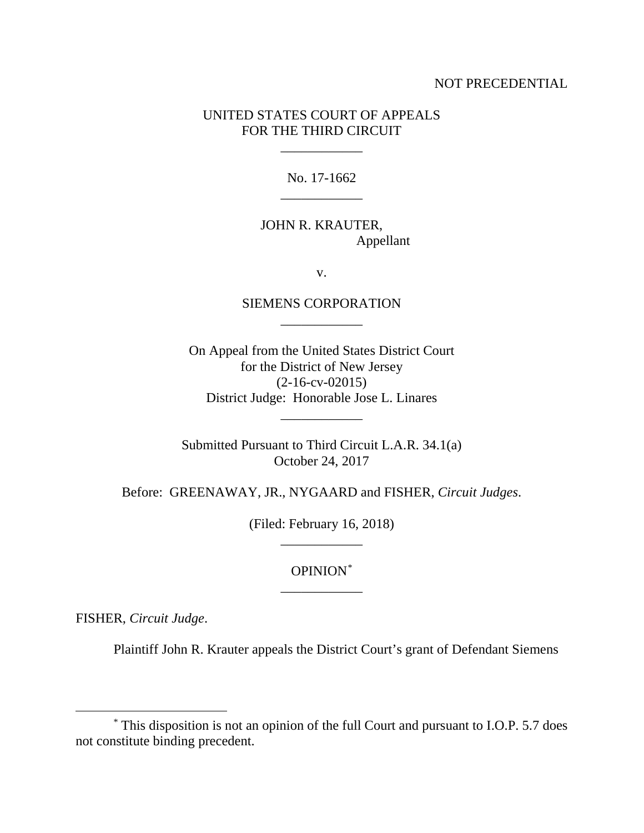#### NOT PRECEDENTIAL

## UNITED STATES COURT OF APPEALS FOR THE THIRD CIRCUIT

\_\_\_\_\_\_\_\_\_\_\_\_

No. 17-1662 \_\_\_\_\_\_\_\_\_\_\_\_

## JOHN R. KRAUTER, Appellant

v.

## SIEMENS CORPORATION \_\_\_\_\_\_\_\_\_\_\_\_

On Appeal from the United States District Court for the District of New Jersey (2-16-cv-02015) District Judge: Honorable Jose L. Linares

Submitted Pursuant to Third Circuit L.A.R. 34.1(a) October 24, 2017

\_\_\_\_\_\_\_\_\_\_\_\_

Before: GREENAWAY, JR., NYGAARD and FISHER, *Circuit Judges*.

(Filed: February 16, 2018) \_\_\_\_\_\_\_\_\_\_\_\_

# OPINION[\\*](#page-0-0) \_\_\_\_\_\_\_\_\_\_\_\_

FISHER, *Circuit Judge*.

Plaintiff John R. Krauter appeals the District Court's grant of Defendant Siemens

<span id="page-0-0"></span> <sup>\*</sup> This disposition is not an opinion of the full Court and pursuant to I.O.P. 5.7 does not constitute binding precedent.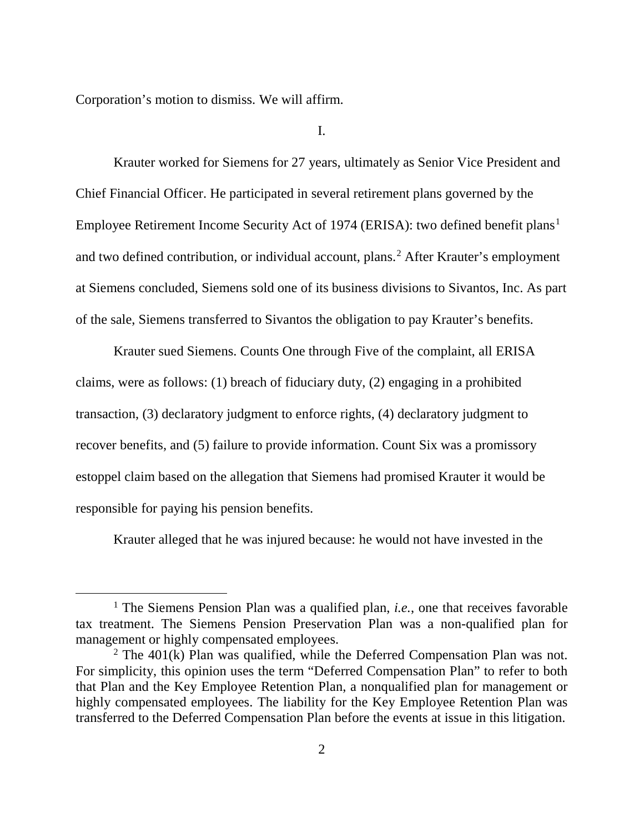Corporation's motion to dismiss. We will affirm.

I.

Krauter worked for Siemens for 27 years, ultimately as Senior Vice President and Chief Financial Officer. He participated in several retirement plans governed by the Employee Retirement Income Security Act of [1](#page-1-0)974 (ERISA): two defined benefit plans<sup>1</sup> and two defined contribution, or individual account, plans.<sup>[2](#page-1-1)</sup> After Krauter's employment at Siemens concluded, Siemens sold one of its business divisions to Sivantos, Inc. As part of the sale, Siemens transferred to Sivantos the obligation to pay Krauter's benefits.

Krauter sued Siemens. Counts One through Five of the complaint, all ERISA claims, were as follows: (1) breach of fiduciary duty, (2) engaging in a prohibited transaction, (3) declaratory judgment to enforce rights, (4) declaratory judgment to recover benefits, and (5) failure to provide information. Count Six was a promissory estoppel claim based on the allegation that Siemens had promised Krauter it would be responsible for paying his pension benefits.

Krauter alleged that he was injured because: he would not have invested in the

<span id="page-1-0"></span><sup>&</sup>lt;sup>1</sup> The Siemens Pension Plan was a qualified plan, *i.e.*, one that receives favorable tax treatment. The Siemens Pension Preservation Plan was a non-qualified plan for management or highly compensated employees.

<span id="page-1-1"></span> $2$  The 401(k) Plan was qualified, while the Deferred Compensation Plan was not. For simplicity, this opinion uses the term "Deferred Compensation Plan" to refer to both that Plan and the Key Employee Retention Plan, a nonqualified plan for management or highly compensated employees. The liability for the Key Employee Retention Plan was transferred to the Deferred Compensation Plan before the events at issue in this litigation.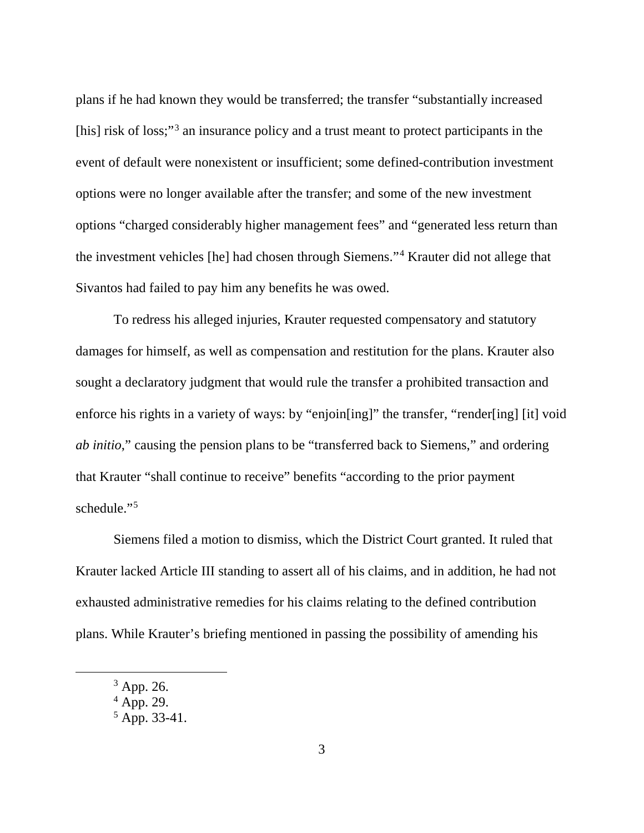plans if he had known they would be transferred; the transfer "substantially increased [his] risk of loss;"<sup>[3](#page-2-0)</sup> an insurance policy and a trust meant to protect participants in the event of default were nonexistent or insufficient; some defined-contribution investment options were no longer available after the transfer; and some of the new investment options "charged considerably higher management fees" and "generated less return than the investment vehicles [he] had chosen through Siemens."[4](#page-2-1) Krauter did not allege that Sivantos had failed to pay him any benefits he was owed.

To redress his alleged injuries, Krauter requested compensatory and statutory damages for himself, as well as compensation and restitution for the plans. Krauter also sought a declaratory judgment that would rule the transfer a prohibited transaction and enforce his rights in a variety of ways: by "enjoin[ing]" the transfer, "render[ing] [it] void *ab initio*," causing the pension plans to be "transferred back to Siemens," and ordering that Krauter "shall continue to receive" benefits "according to the prior payment schedule."<sup>[5](#page-2-2)</sup>

Siemens filed a motion to dismiss, which the District Court granted. It ruled that Krauter lacked Article III standing to assert all of his claims, and in addition, he had not exhausted administrative remedies for his claims relating to the defined contribution plans. While Krauter's briefing mentioned in passing the possibility of amending his

<span id="page-2-0"></span> <sup>3</sup> App. 26.

<span id="page-2-1"></span> $4$  App. 29.

<span id="page-2-2"></span> $5$  App. 33-41.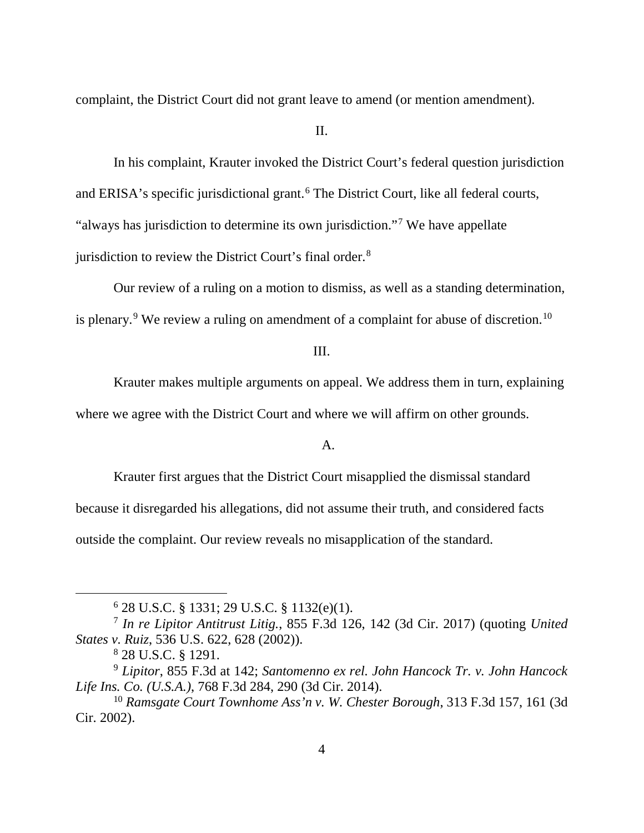complaint, the District Court did not grant leave to amend (or mention amendment).

II.

In his complaint, Krauter invoked the District Court's federal question jurisdiction and ERISA's specific jurisdictional grant. [6](#page-3-0) The District Court, like all federal courts, "always has jurisdiction to determine its own jurisdiction."<sup>[7](#page-3-1)</sup> We have appellate jurisdiction to review the District Court's final order.<sup>[8](#page-3-2)</sup>

Our review of a ruling on a motion to dismiss, as well as a standing determination, is plenary.<sup>[9](#page-3-3)</sup> We review a ruling on amendment of a complaint for abuse of discretion.<sup>[10](#page-3-4)</sup>

III.

Krauter makes multiple arguments on appeal. We address them in turn, explaining where we agree with the District Court and where we will affirm on other grounds.

## A.

Krauter first argues that the District Court misapplied the dismissal standard because it disregarded his allegations, did not assume their truth, and considered facts outside the complaint. Our review reveals no misapplication of the standard.

 $6$  28 U.S.C. § 1331; 29 U.S.C. § 1132(e)(1).

<span id="page-3-1"></span><span id="page-3-0"></span><sup>7</sup> *In re Lipitor Antitrust Litig.*, 855 F.3d 126, 142 (3d Cir. 2017) (quoting *United States v. Ruiz*, 536 U.S. 622, 628 (2002)).

<sup>8</sup> 28 U.S.C. § 1291.

<span id="page-3-3"></span><span id="page-3-2"></span><sup>9</sup> *Lipitor*, 855 F.3d at 142; *Santomenno ex rel. John Hancock Tr. v. John Hancock Life Ins. Co. (U.S.A.)*, 768 F.3d 284, 290 (3d Cir. 2014).

<span id="page-3-4"></span><sup>10</sup> *Ramsgate Court Townhome Ass'n v. W. Chester Borough*, 313 F.3d 157, 161 (3d Cir. 2002).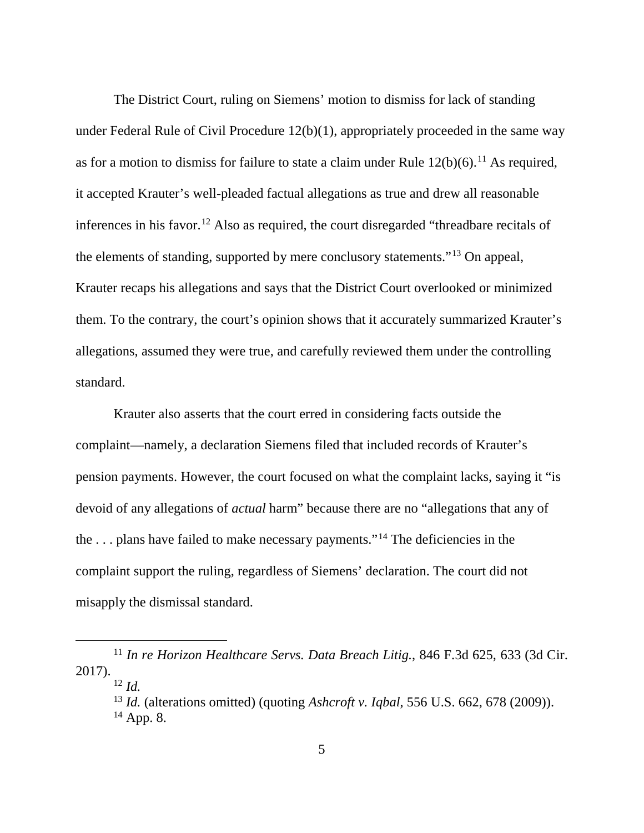The District Court, ruling on Siemens' motion to dismiss for lack of standing under Federal Rule of Civil Procedure 12(b)(1), appropriately proceeded in the same way as for a motion to dismiss for failure to state a claim under Rule  $12(b)(6)$ .<sup>[11](#page-4-0)</sup> As required, it accepted Krauter's well-pleaded factual allegations as true and drew all reasonable inferences in his favor.<sup>[12](#page-4-1)</sup> Also as required, the court disregarded "threadbare recitals of the elements of standing, supported by mere conclusory statements."[13](#page-4-2) On appeal, Krauter recaps his allegations and says that the District Court overlooked or minimized them. To the contrary, the court's opinion shows that it accurately summarized Krauter's allegations, assumed they were true, and carefully reviewed them under the controlling standard.

Krauter also asserts that the court erred in considering facts outside the complaint—namely, a declaration Siemens filed that included records of Krauter's pension payments. However, the court focused on what the complaint lacks, saying it "is devoid of any allegations of *actual* harm" because there are no "allegations that any of the  $\ldots$  plans have failed to make necessary payments."<sup>[14](#page-4-3)</sup> The deficiencies in the complaint support the ruling, regardless of Siemens' declaration. The court did not misapply the dismissal standard.

<span id="page-4-3"></span><span id="page-4-2"></span><span id="page-4-1"></span><span id="page-4-0"></span> <sup>11</sup> *In re Horizon Healthcare Servs. Data Breach Litig.*, 846 F.3d 625, 633 (3d Cir. 2017).

 $12 \, \text{Id}$ 

<sup>13</sup> *Id.* (alterations omitted) (quoting *Ashcroft v. Iqbal*, 556 U.S. 662, 678 (2009)).  $14$  App. 8.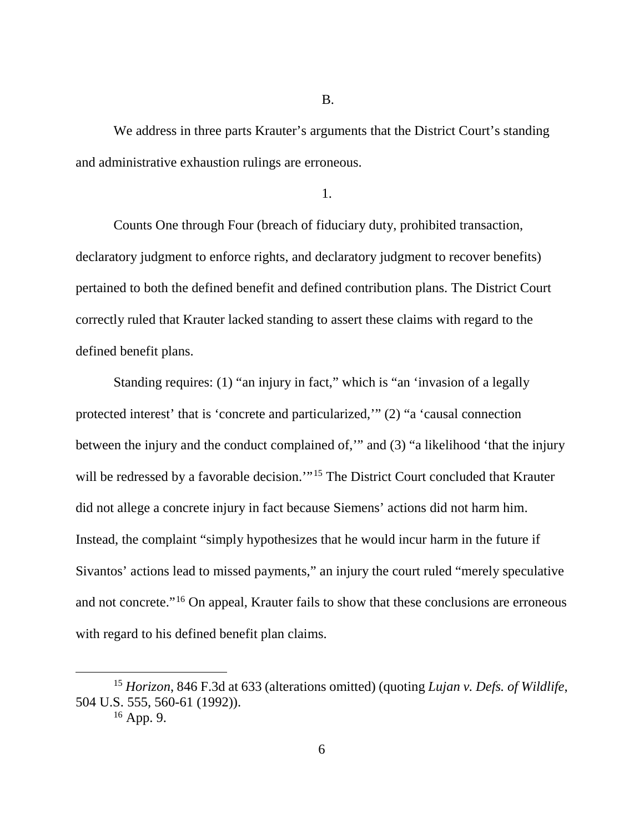B.

We address in three parts Krauter's arguments that the District Court's standing and administrative exhaustion rulings are erroneous.

1.

Counts One through Four (breach of fiduciary duty, prohibited transaction, declaratory judgment to enforce rights, and declaratory judgment to recover benefits) pertained to both the defined benefit and defined contribution plans. The District Court correctly ruled that Krauter lacked standing to assert these claims with regard to the defined benefit plans.

Standing requires: (1) "an injury in fact," which is "an 'invasion of a legally protected interest' that is 'concrete and particularized,'" (2) "a 'causal connection between the injury and the conduct complained of,'" and (3) "a likelihood 'that the injury will be redressed by a favorable decision."<sup>[15](#page-5-0)</sup> The District Court concluded that Krauter did not allege a concrete injury in fact because Siemens' actions did not harm him. Instead, the complaint "simply hypothesizes that he would incur harm in the future if Sivantos' actions lead to missed payments," an injury the court ruled "merely speculative and not concrete."[16](#page-5-1) On appeal, Krauter fails to show that these conclusions are erroneous with regard to his defined benefit plan claims.

<span id="page-5-1"></span><span id="page-5-0"></span> <sup>15</sup> *Horizon*, 846 F.3d at 633 (alterations omitted) (quoting *Lujan v. Defs. of Wildlife*, 504 U.S. 555, 560-61 (1992)).

<sup>16</sup> App. 9.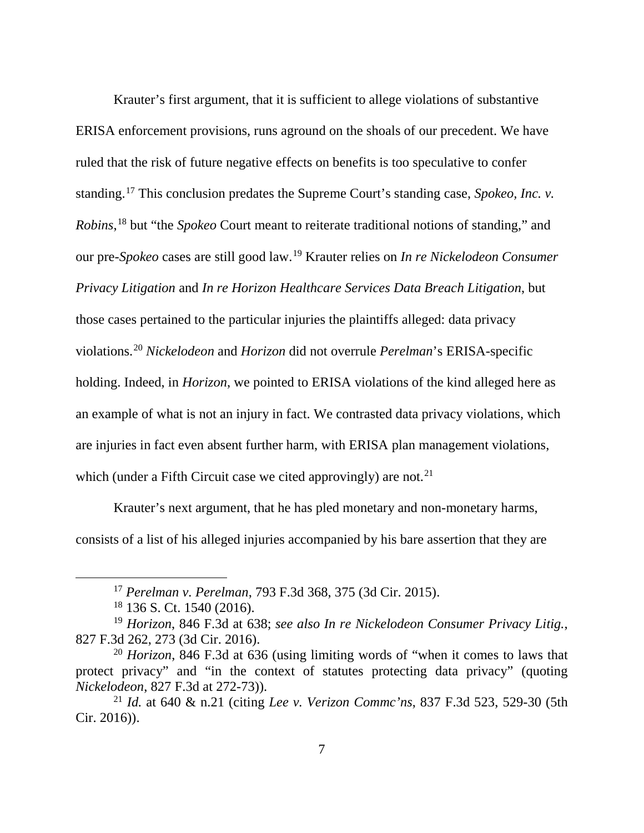Krauter's first argument, that it is sufficient to allege violations of substantive ERISA enforcement provisions, runs aground on the shoals of our precedent. We have ruled that the risk of future negative effects on benefits is too speculative to confer standing.[17](#page-6-0) This conclusion predates the Supreme Court's standing case, *Spokeo, Inc. v. Robins*, [18](#page-6-1) but "the *Spokeo* Court meant to reiterate traditional notions of standing," and our pre-*Spokeo* cases are still good law.[19](#page-6-2) Krauter relies on *In re Nickelodeon Consumer Privacy Litigation* and *In re Horizon Healthcare Services Data Breach Litigation*, but those cases pertained to the particular injuries the plaintiffs alleged: data privacy violations. [20](#page-6-3) *Nickelodeon* and *Horizon* did not overrule *Perelman*'s ERISA-specific holding. Indeed, in *Horizon*, we pointed to ERISA violations of the kind alleged here as an example of what is not an injury in fact. We contrasted data privacy violations, which are injuries in fact even absent further harm, with ERISA plan management violations, which (under a Fifth Circuit case we cited approvingly) are not.<sup>[21](#page-6-4)</sup>

Krauter's next argument, that he has pled monetary and non-monetary harms, consists of a list of his alleged injuries accompanied by his bare assertion that they are

 <sup>17</sup> *Perelman v. Perelman*, 793 F.3d 368, 375 (3d Cir. 2015).

<sup>18</sup> 136 S. Ct. 1540 (2016).

<span id="page-6-2"></span><span id="page-6-1"></span><span id="page-6-0"></span><sup>19</sup> *Horizon*, 846 F.3d at 638; *see also In re Nickelodeon Consumer Privacy Litig.*, 827 F.3d 262, 273 (3d Cir. 2016).

<span id="page-6-3"></span><sup>20</sup> *Horizon*, 846 F.3d at 636 (using limiting words of "when it comes to laws that protect privacy" and "in the context of statutes protecting data privacy" (quoting *Nickelodeon*, 827 F.3d at 272-73)).

<span id="page-6-4"></span><sup>21</sup> *Id.* at 640 & n.21 (citing *Lee v. Verizon Commc'ns*, 837 F.3d 523, 529-30 (5th Cir. 2016)).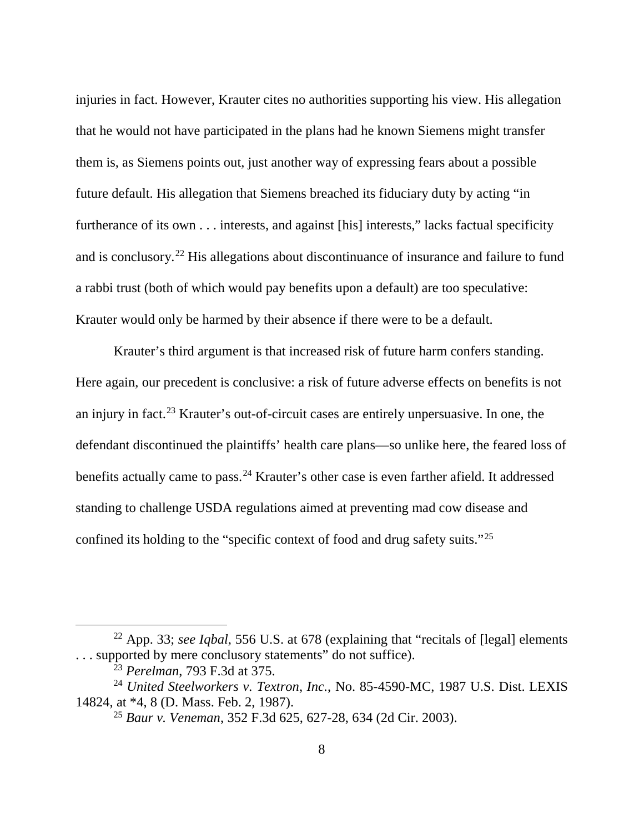injuries in fact. However, Krauter cites no authorities supporting his view. His allegation that he would not have participated in the plans had he known Siemens might transfer them is, as Siemens points out, just another way of expressing fears about a possible future default. His allegation that Siemens breached its fiduciary duty by acting "in furtherance of its own . . . interests, and against [his] interests," lacks factual specificity and is conclusory.[22](#page-7-0) His allegations about discontinuance of insurance and failure to fund a rabbi trust (both of which would pay benefits upon a default) are too speculative: Krauter would only be harmed by their absence if there were to be a default.

Krauter's third argument is that increased risk of future harm confers standing. Here again, our precedent is conclusive: a risk of future adverse effects on benefits is not an injury in fact.[23](#page-7-1) Krauter's out-of-circuit cases are entirely unpersuasive. In one, the defendant discontinued the plaintiffs' health care plans—so unlike here, the feared loss of benefits actually came to pass.<sup>[24](#page-7-2)</sup> Krauter's other case is even farther afield. It addressed standing to challenge USDA regulations aimed at preventing mad cow disease and confined its holding to the "specific context of food and drug safety suits."[25](#page-7-3)

<span id="page-7-0"></span> <sup>22</sup> App. 33; *see Iqbal*, 556 U.S. at <sup>678</sup> (explaining that "recitals of [legal] elements . . . supported by mere conclusory statements" do not suffice).

<sup>23</sup> *Perelman*, 793 F.3d at 375.

<span id="page-7-3"></span><span id="page-7-2"></span><span id="page-7-1"></span><sup>24</sup> *United Steelworkers v. Textron, Inc.*, No. 85-4590-MC, 1987 U.S. Dist. LEXIS 14824, at \*4, 8 (D. Mass. Feb. 2, 1987).

<sup>25</sup> *Baur v. Veneman*, 352 F.3d 625, 627-28, 634 (2d Cir. 2003).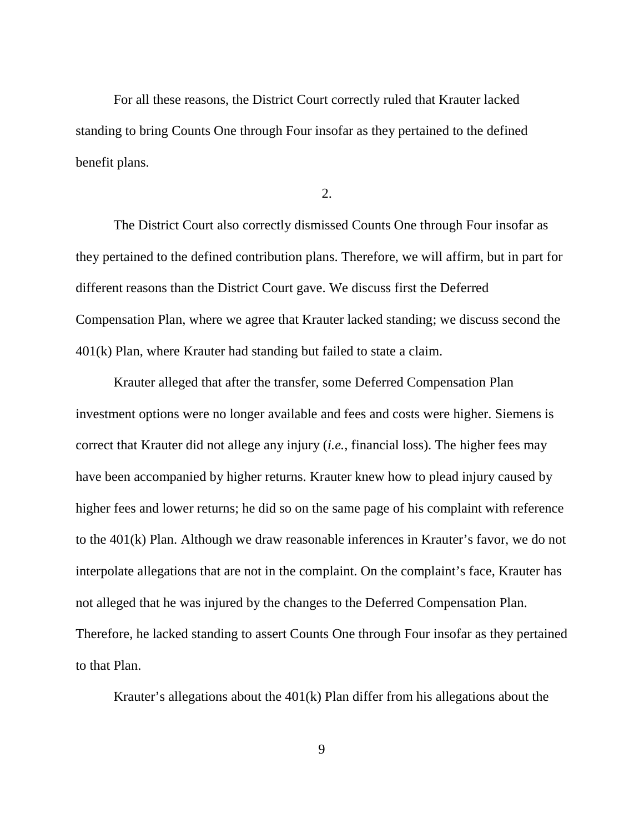For all these reasons, the District Court correctly ruled that Krauter lacked standing to bring Counts One through Four insofar as they pertained to the defined benefit plans.

2.

The District Court also correctly dismissed Counts One through Four insofar as they pertained to the defined contribution plans. Therefore, we will affirm, but in part for different reasons than the District Court gave. We discuss first the Deferred Compensation Plan, where we agree that Krauter lacked standing; we discuss second the 401(k) Plan, where Krauter had standing but failed to state a claim.

Krauter alleged that after the transfer, some Deferred Compensation Plan investment options were no longer available and fees and costs were higher. Siemens is correct that Krauter did not allege any injury (*i.e.*, financial loss). The higher fees may have been accompanied by higher returns. Krauter knew how to plead injury caused by higher fees and lower returns; he did so on the same page of his complaint with reference to the 401(k) Plan. Although we draw reasonable inferences in Krauter's favor, we do not interpolate allegations that are not in the complaint. On the complaint's face, Krauter has not alleged that he was injured by the changes to the Deferred Compensation Plan. Therefore, he lacked standing to assert Counts One through Four insofar as they pertained to that Plan.

Krauter's allegations about the 401(k) Plan differ from his allegations about the

9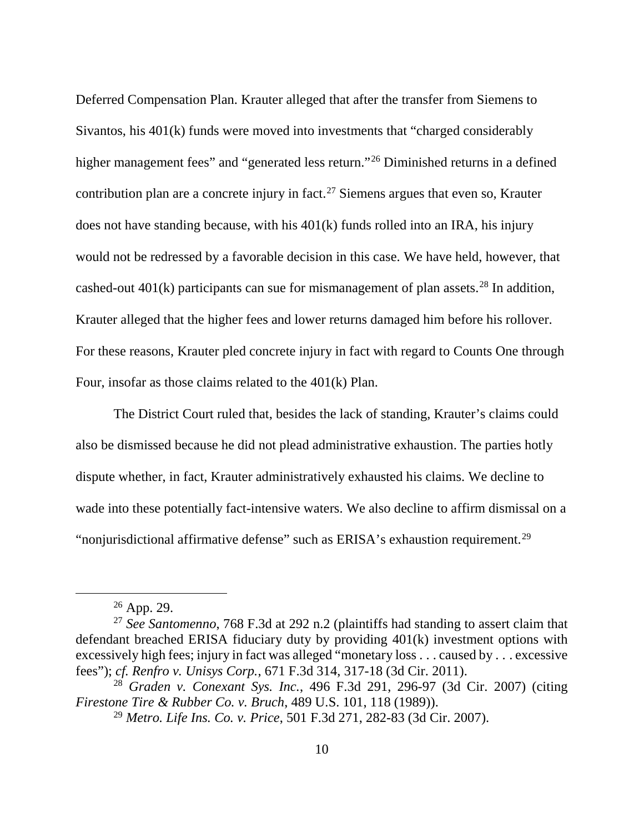Deferred Compensation Plan. Krauter alleged that after the transfer from Siemens to Sivantos, his 401(k) funds were moved into investments that "charged considerably higher management fees" and "generated less return."<sup>[26](#page-9-0)</sup> Diminished returns in a defined contribution plan are a concrete injury in fact.<sup>[27](#page-9-1)</sup> Siemens argues that even so, Krauter does not have standing because, with his 401(k) funds rolled into an IRA, his injury would not be redressed by a favorable decision in this case. We have held, however, that cashed-out  $401(k)$  participants can sue for mismanagement of plan assets.<sup>[28](#page-9-2)</sup> In addition, Krauter alleged that the higher fees and lower returns damaged him before his rollover. For these reasons, Krauter pled concrete injury in fact with regard to Counts One through Four, insofar as those claims related to the 401(k) Plan.

The District Court ruled that, besides the lack of standing, Krauter's claims could also be dismissed because he did not plead administrative exhaustion. The parties hotly dispute whether, in fact, Krauter administratively exhausted his claims. We decline to wade into these potentially fact-intensive waters. We also decline to affirm dismissal on a "nonjurisdictional affirmative defense" such as ERISA's exhaustion requirement.<sup>[29](#page-9-3)</sup>

 $26$  App. 29.

<span id="page-9-1"></span><span id="page-9-0"></span><sup>27</sup> *See Santomenno*, 768 F.3d at 292 n.2 (plaintiffs had standing to assert claim that defendant breached ERISA fiduciary duty by providing 401(k) investment options with excessively high fees; injury in fact was alleged "monetary loss . . . caused by . . . excessive fees"); *cf. Renfro v. Unisys Corp.*, 671 F.3d 314, 317-18 (3d Cir. 2011).

<span id="page-9-3"></span><span id="page-9-2"></span><sup>28</sup> *Graden v. Conexant Sys. Inc.*, 496 F.3d 291, 296-97 (3d Cir. 2007) (citing *Firestone Tire & Rubber Co. v. Bruch*, 489 U.S. 101, 118 (1989)).

<sup>29</sup> *Metro. Life Ins. Co. v. Price*, 501 F.3d 271, 282-83 (3d Cir. 2007).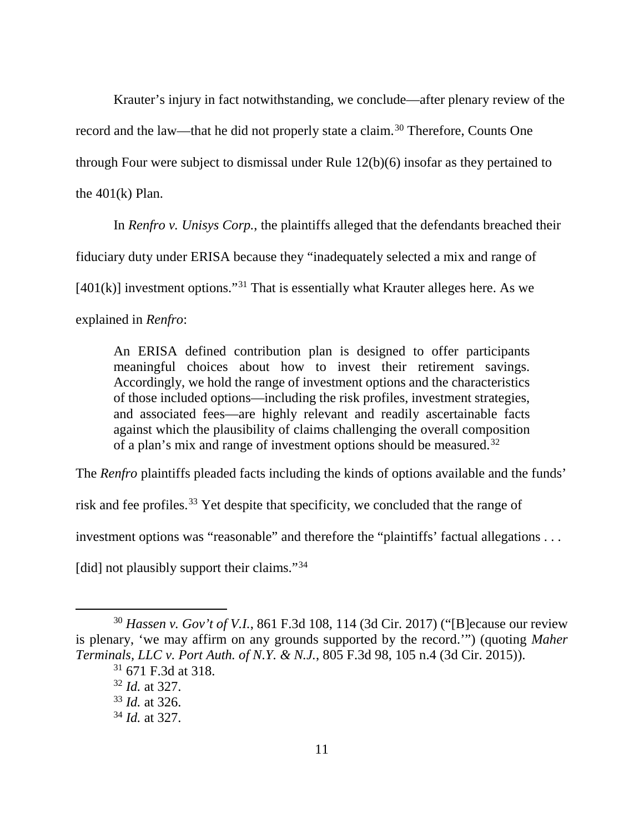Krauter's injury in fact notwithstanding, we conclude—after plenary review of the record and the law—that he did not properly state a claim. [30](#page-10-0) Therefore, Counts One through Four were subject to dismissal under Rule 12(b)(6) insofar as they pertained to the  $401(k)$  Plan.

In *Renfro v. Unisys Corp.*, the plaintiffs alleged that the defendants breached their

fiduciary duty under ERISA because they "inadequately selected a mix and range of

 $[401(k)]$  investment options."<sup>[31](#page-10-1)</sup> That is essentially what Krauter alleges here. As we

explained in *Renfro*:

An ERISA defined contribution plan is designed to offer participants meaningful choices about how to invest their retirement savings. Accordingly, we hold the range of investment options and the characteristics of those included options—including the risk profiles, investment strategies, and associated fees—are highly relevant and readily ascertainable facts against which the plausibility of claims challenging the overall composition of a plan's mix and range of investment options should be measured.<sup>[32](#page-10-2)</sup>

The *Renfro* plaintiffs pleaded facts including the kinds of options available and the funds'

risk and fee profiles.[33](#page-10-3) Yet despite that specificity, we concluded that the range of

investment options was "reasonable" and therefore the "plaintiffs' factual allegations . . .

[did] not plausibly support their claims."<sup>[34](#page-10-4)</sup>

<span id="page-10-3"></span><span id="page-10-2"></span><span id="page-10-1"></span><span id="page-10-0"></span> <sup>30</sup> *Hassen v. Gov't of V.I.*, 861 F.3d 108, 114 (3d Cir. 2017) ("[B]ecause our review is plenary, 'we may affirm on any grounds supported by the record.'") (quoting *Maher Terminals, LLC v. Port Auth. of N.Y. & N.J.*, 805 F.3d 98, 105 n.4 (3d Cir. 2015)).

<sup>31</sup> 671 F.3d at 318.

<sup>32</sup> *Id.* at 327.

<sup>33</sup> *Id.* at 326.

<span id="page-10-4"></span><sup>34</sup> *Id.* at 327.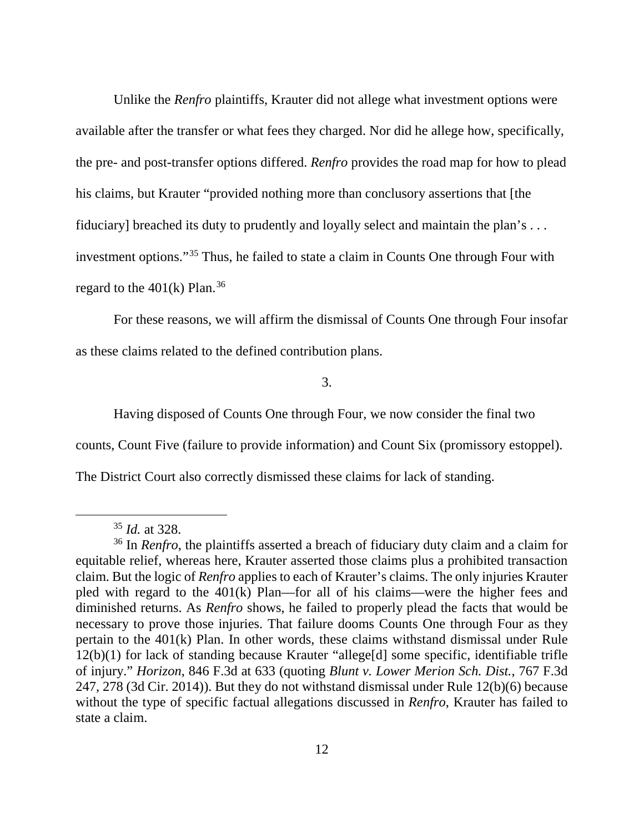Unlike the *Renfro* plaintiffs, Krauter did not allege what investment options were available after the transfer or what fees they charged. Nor did he allege how, specifically, the pre- and post-transfer options differed. *Renfro* provides the road map for how to plead his claims, but Krauter "provided nothing more than conclusory assertions that [the fiduciary] breached its duty to prudently and loyally select and maintain the plan's . . . investment options."[35](#page-11-0) Thus, he failed to state a claim in Counts One through Four with regard to the  $401(k)$  Plan.<sup>[36](#page-11-1)</sup>

For these reasons, we will affirm the dismissal of Counts One through Four insofar as these claims related to the defined contribution plans.

3.

Having disposed of Counts One through Four, we now consider the final two

counts, Count Five (failure to provide information) and Count Six (promissory estoppel).

The District Court also correctly dismissed these claims for lack of standing.

 <sup>35</sup> *Id.* at 328.

<span id="page-11-1"></span><span id="page-11-0"></span><sup>36</sup> In *Renfro*, the plaintiffs asserted a breach of fiduciary duty claim and a claim for equitable relief, whereas here, Krauter asserted those claims plus a prohibited transaction claim. But the logic of *Renfro* applies to each of Krauter's claims. The only injuries Krauter pled with regard to the 401(k) Plan—for all of his claims—were the higher fees and diminished returns. As *Renfro* shows, he failed to properly plead the facts that would be necessary to prove those injuries. That failure dooms Counts One through Four as they pertain to the 401(k) Plan. In other words, these claims withstand dismissal under Rule 12(b)(1) for lack of standing because Krauter "allege[d] some specific, identifiable trifle of injury." *Horizon*, 846 F.3d at 633 (quoting *Blunt v. Lower Merion Sch. Dist.*, 767 F.3d 247, 278 (3d Cir. 2014)). But they do not withstand dismissal under Rule 12(b)(6) because without the type of specific factual allegations discussed in *Renfro*, Krauter has failed to state a claim.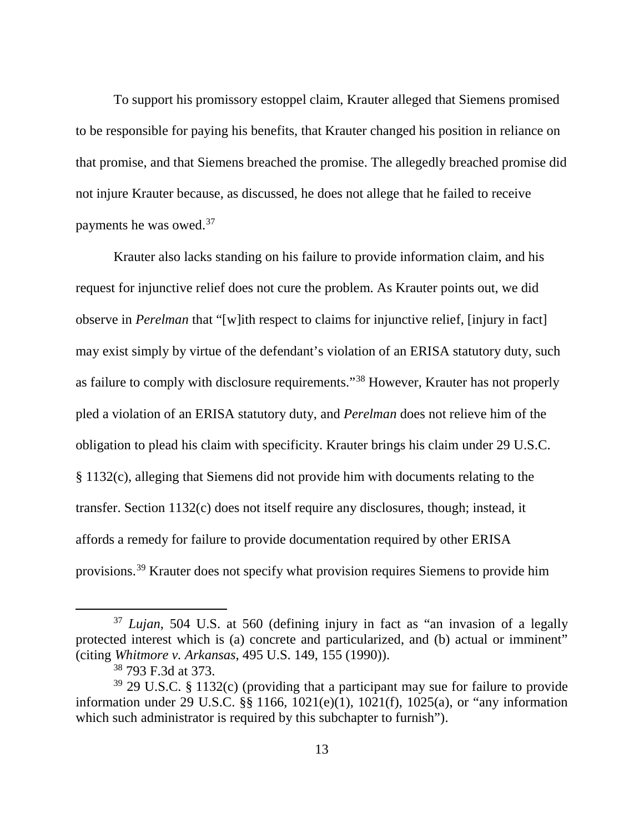To support his promissory estoppel claim, Krauter alleged that Siemens promised to be responsible for paying his benefits, that Krauter changed his position in reliance on that promise, and that Siemens breached the promise. The allegedly breached promise did not injure Krauter because, as discussed, he does not allege that he failed to receive payments he was owed.[37](#page-12-0)

Krauter also lacks standing on his failure to provide information claim, and his request for injunctive relief does not cure the problem. As Krauter points out, we did observe in *Perelman* that "[w]ith respect to claims for injunctive relief, [injury in fact] may exist simply by virtue of the defendant's violation of an ERISA statutory duty, such as failure to comply with disclosure requirements."[38](#page-12-1) However, Krauter has not properly pled a violation of an ERISA statutory duty, and *Perelman* does not relieve him of the obligation to plead his claim with specificity. Krauter brings his claim under 29 U.S.C. § 1132(c), alleging that Siemens did not provide him with documents relating to the transfer. Section 1132(c) does not itself require any disclosures, though; instead, it affords a remedy for failure to provide documentation required by other ERISA provisions.[39](#page-12-2) Krauter does not specify what provision requires Siemens to provide him

<span id="page-12-0"></span> <sup>37</sup> *Lujan*, 504 U.S. at 560 (defining injury in fact as "an invasion of a legally protected interest which is (a) concrete and particularized, and (b) actual or imminent" (citing *Whitmore v. Arkansas*, 495 U.S. 149, 155 (1990)).

<sup>38</sup> 793 F.3d at 373.

<span id="page-12-2"></span><span id="page-12-1"></span><sup>39</sup> 29 U.S.C. § 1132(c) (providing that a participant may sue for failure to provide information under 29 U.S.C.  $\S$  1166, 1021(e)(1), 1021(f), 1025(a), or "any information which such administrator is required by this subchapter to furnish").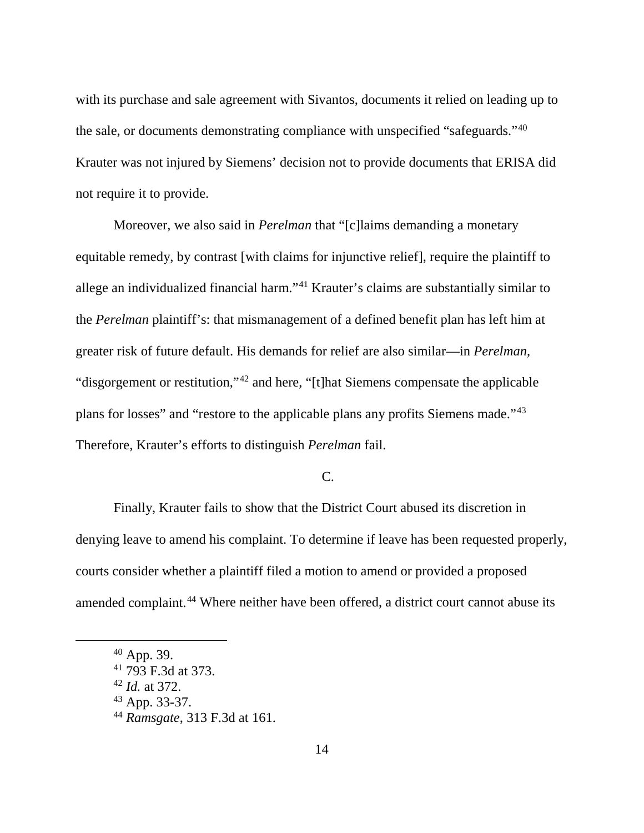with its purchase and sale agreement with Sivantos, documents it relied on leading up to the sale, or documents demonstrating compliance with unspecified "safeguards."[40](#page-13-0) Krauter was not injured by Siemens' decision not to provide documents that ERISA did not require it to provide.

Moreover, we also said in *Perelman* that "[c]laims demanding a monetary equitable remedy, by contrast [with claims for injunctive relief], require the plaintiff to allege an individualized financial harm."[41](#page-13-1) Krauter's claims are substantially similar to the *Perelman* plaintiff's: that mismanagement of a defined benefit plan has left him at greater risk of future default. His demands for relief are also similar—in *Perelman*, "disgorgement or restitution,"[42](#page-13-2) and here, "[t]hat Siemens compensate the applicable plans for losses" and "restore to the applicable plans any profits Siemens made."[43](#page-13-3) Therefore, Krauter's efforts to distinguish *Perelman* fail.

# C.

Finally, Krauter fails to show that the District Court abused its discretion in denying leave to amend his complaint. To determine if leave has been requested properly, courts consider whether a plaintiff filed a motion to amend or provided a proposed amended complaint.<sup>[44](#page-13-4)</sup> Where neither have been offered, a district court cannot abuse its

<span id="page-13-2"></span><sup>42</sup> *Id.* at 372.

<span id="page-13-3"></span><sup>43</sup> App. 33-37.

<span id="page-13-0"></span> <sup>40</sup> App. 39.

<span id="page-13-1"></span> $41$  793 F.3d at 373.

<span id="page-13-4"></span><sup>44</sup> *Ramsgate*, 313 F.3d at 161.